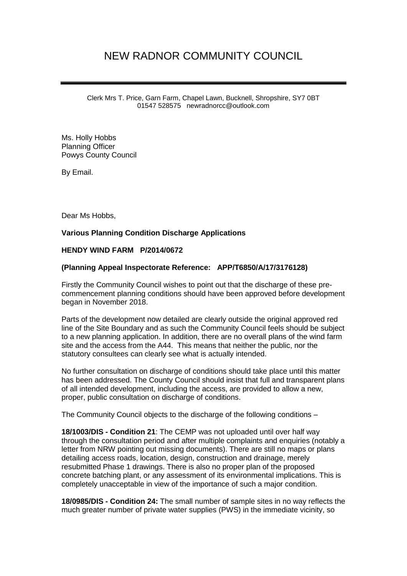## NEW RADNOR COMMUNITY COUNCIL

Clerk Mrs T. Price, Garn Farm, Chapel Lawn, Bucknell, Shropshire, SY7 0BT 01547 528575 newradnorcc@outlook.com

Ms. Holly Hobbs Planning Officer Powys County Council

By Email.

Dear Ms Hobbs,

## **Various Planning Condition Discharge Applications**

## **HENDY WIND FARM P/2014/0672**

## **(Planning Appeal Inspectorate Reference: APP/T6850/A/17/3176128)**

Firstly the Community Council wishes to point out that the discharge of these precommencement planning conditions should have been approved before development began in November 2018.

Parts of the development now detailed are clearly outside the original approved red line of the Site Boundary and as such the Community Council feels should be subject to a new planning application. In addition, there are no overall plans of the wind farm site and the access from the A44. This means that neither the public, nor the statutory consultees can clearly see what is actually intended.

No further consultation on discharge of conditions should take place until this matter has been addressed. The County Council should insist that full and transparent plans of all intended development, including the access, are provided to allow a new, proper, public consultation on discharge of conditions.

The Community Council objects to the discharge of the following conditions –

**18/1003/DIS - Condition 21**: The CEMP was not uploaded until over half way through the consultation period and after multiple complaints and enquiries (notably a letter from NRW pointing out missing documents). There are still no maps or plans detailing access roads, location, design, construction and drainage, merely resubmitted Phase 1 drawings. There is also no proper plan of the proposed concrete batching plant, or any assessment of its environmental implications. This is completely unacceptable in view of the importance of such a major condition.

**18/0985/DIS - Condition 24:** The small number of sample sites in no way reflects the much greater number of private water supplies (PWS) in the immediate vicinity, so